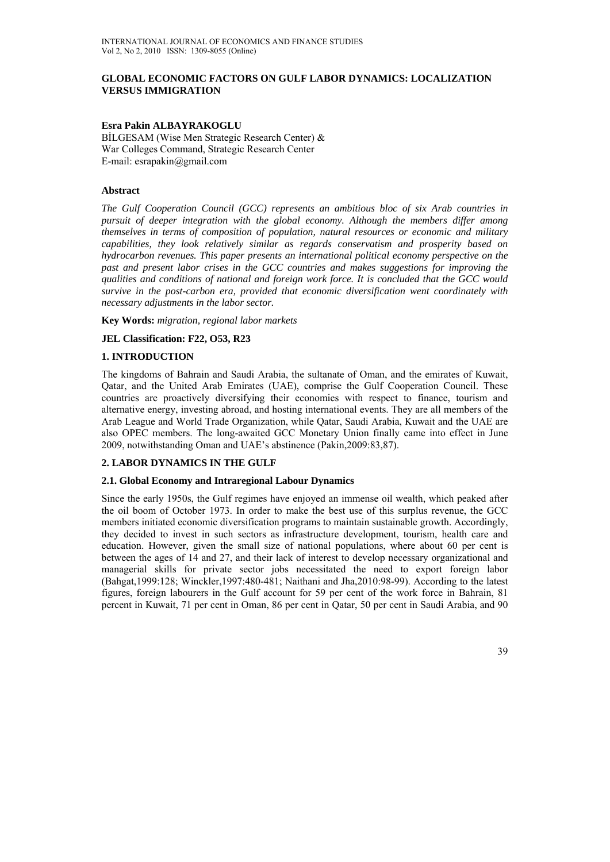## **GLOBAL ECONOMIC FACTORS ON GULF LABOR DYNAMICS: LOCALIZATION VERSUS IMMIGRATION**

## **Esra Pakin ALBAYRAKOGLU**

BİLGESAM (Wise Men Strategic Research Center) & War Colleges Command, Strategic Research Center E-mail: esrapakin@gmail.com

## **Abstract**

*The Gulf Cooperation Council (GCC) represents an ambitious bloc of six Arab countries in pursuit of deeper integration with the global economy. Although the members differ among themselves in terms of composition of population, natural resources or economic and military capabilities, they look relatively similar as regards conservatism and prosperity based on hydrocarbon revenues. This paper presents an international political economy perspective on the past and present labor crises in the GCC countries and makes suggestions for improving the qualities and conditions of national and foreign work force. It is concluded that the GCC would survive in the post-carbon era, provided that economic diversification went coordinately with necessary adjustments in the labor sector.* 

**Key Words:** *migration, regional labor markets*

## **JEL Classification: F22, O53, R23**

## **1. INTRODUCTION**

The kingdoms of Bahrain and Saudi Arabia, the sultanate of Oman, and the emirates of Kuwait, Qatar, and the United Arab Emirates (UAE), comprise the Gulf Cooperation Council. These countries are proactively diversifying their economies with respect to finance, tourism and alternative energy, investing abroad, and hosting international events. They are all members of the Arab League and World Trade Organization, while Qatar, Saudi Arabia, Kuwait and the UAE are also OPEC members. The long-awaited GCC Monetary Union finally came into effect in June 2009, notwithstanding Oman and UAE's abstinence (Pakin,2009:83,87).

## **2. LABOR DYNAMICS IN THE GULF**

#### **2.1. Global Economy and Intraregional Labour Dynamics**

Since the early 1950s, the Gulf regimes have enjoyed an immense oil wealth, which peaked after the oil boom of October 1973. In order to make the best use of this surplus revenue, the GCC members initiated economic diversification programs to maintain sustainable growth. Accordingly, they decided to invest in such sectors as infrastructure development, tourism, health care and education. However, given the small size of national populations, where about 60 per cent is between the ages of 14 and 27, and their lack of interest to develop necessary organizational and managerial skills for private sector jobs necessitated the need to export foreign labor (Bahgat,1999:128; Winckler,1997:480-481; Naithani and Jha,2010:98-99). According to the latest figures, foreign labourers in the Gulf account for 59 per cent of the work force in Bahrain, 81 percent in Kuwait, 71 per cent in Oman, 86 per cent in Qatar, 50 per cent in Saudi Arabia, and 90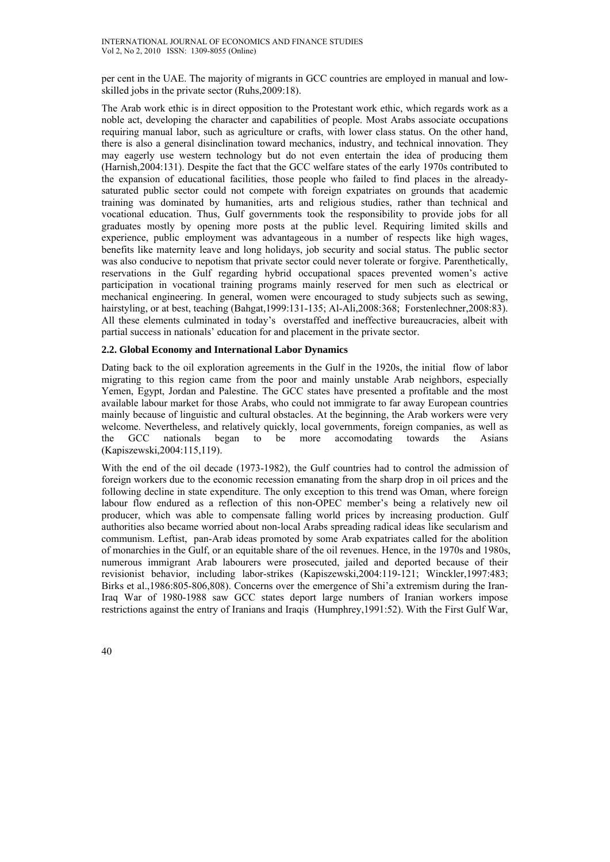per cent in the UAE. The majority of migrants in GCC countries are employed in manual and lowskilled jobs in the private sector (Ruhs,2009:18).

The Arab work ethic is in direct opposition to the Protestant work ethic, which regards work as a noble act, developing the character and capabilities of people. Most Arabs associate occupations requiring manual labor, such as agriculture or crafts, with lower class status. On the other hand, there is also a general disinclination toward mechanics, industry, and technical innovation. They may eagerly use western technology but do not even entertain the idea of producing them (Harnish,2004:131). Despite the fact that the GCC welfare states of the early 1970s contributed to the expansion of educational facilities, those people who failed to find places in the alreadysaturated public sector could not compete with foreign expatriates on grounds that academic training was dominated by humanities, arts and religious studies, rather than technical and vocational education. Thus, Gulf governments took the responsibility to provide jobs for all graduates mostly by opening more posts at the public level. Requiring limited skills and experience, public employment was advantageous in a number of respects like high wages, benefits like maternity leave and long holidays, job security and social status. The public sector was also conducive to nepotism that private sector could never tolerate or forgive. Parenthetically, reservations in the Gulf regarding hybrid occupational spaces prevented women's active participation in vocational training programs mainly reserved for men such as electrical or mechanical engineering. In general, women were encouraged to study subjects such as sewing, hairstyling, or at best, teaching (Bahgat, 1999:131-135; Al-Ali, 2008:368; Forstenlechner, 2008:83). All these elements culminated in today's overstaffed and ineffective bureaucracies, albeit with partial success in nationals' education for and placement in the private sector.

## **2.2. Global Economy and International Labor Dynamics**

Dating back to the oil exploration agreements in the Gulf in the 1920s, the initial flow of labor migrating to this region came from the poor and mainly unstable Arab neighbors, especially Yemen, Egypt, Jordan and Palestine. The GCC states have presented a profitable and the most available labour market for those Arabs, who could not immigrate to far away European countries mainly because of linguistic and cultural obstacles. At the beginning, the Arab workers were very welcome. Nevertheless, and relatively quickly, local governments, foreign companies, as well as the GCC nationals began to be more accomodating towards the Asians (Kapiszewski,2004:115,119).

With the end of the oil decade (1973-1982), the Gulf countries had to control the admission of foreign workers due to the economic recession emanating from the sharp drop in oil prices and the following decline in state expenditure. The only exception to this trend was Oman, where foreign labour flow endured as a reflection of this non-OPEC member's being a relatively new oil producer, which was able to compensate falling world prices by increasing production. Gulf authorities also became worried about non-local Arabs spreading radical ideas like secularism and communism. Leftist, pan-Arab ideas promoted by some Arab expatriates called for the abolition of monarchies in the Gulf, or an equitable share of the oil revenues. Hence, in the 1970s and 1980s, numerous immigrant Arab labourers were prosecuted, jailed and deported because of their revisionist behavior, including labor-strikes (Kapiszewski,2004:119-121; Winckler,1997:483; Birks et al.,1986:805-806,808). Concerns over the emergence of Shi'a extremism during the Iran-Iraq War of 1980-1988 saw GCC states deport large numbers of Iranian workers impose restrictions against the entry of Iranians and Iraqis (Humphrey,1991:52). With the First Gulf War,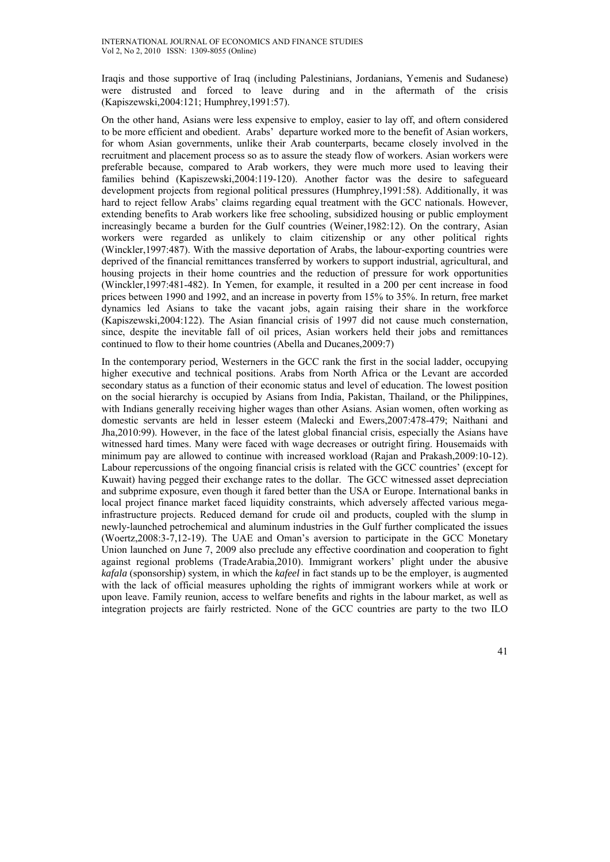Iraqis and those supportive of Iraq (including Palestinians, Jordanians, Yemenis and Sudanese) were distrusted and forced to leave during and in the aftermath of the crisis (Kapiszewski,2004:121; Humphrey,1991:57).

On the other hand, Asians were less expensive to employ, easier to lay off, and oftern considered to be more efficient and obedient. Arabs' departure worked more to the benefit of Asian workers, for whom Asian governments, unlike their Arab counterparts, became closely involved in the recruitment and placement process so as to assure the steady flow of workers. Asian workers were preferable because, compared to Arab workers, they were much more used to leaving their families behind (Kapiszewski,2004:119-120). Another factor was the desire to safegueard development projects from regional political pressures (Humphrey,1991:58). Additionally, it was hard to reject fellow Arabs' claims regarding equal treatment with the GCC nationals. However, extending benefits to Arab workers like free schooling, subsidized housing or public employment increasingly became a burden for the Gulf countries (Weiner,1982:12). On the contrary, Asian workers were regarded as unlikely to claim citizenship or any other political rights (Winckler,1997:487). With the massive deportation of Arabs, the labour-exporting countries were deprived of the financial remittances transferred by workers to support industrial, agricultural, and housing projects in their home countries and the reduction of pressure for work opportunities (Winckler,1997:481-482). In Yemen, for example, it resulted in a 200 per cent increase in food prices between 1990 and 1992, and an increase in poverty from 15% to 35%. In return, free market dynamics led Asians to take the vacant jobs, again raising their share in the workforce (Kapiszewski,2004:122). The Asian financial crisis of 1997 did not cause much consternation, since, despite the inevitable fall of oil prices, Asian workers held their jobs and remittances continued to flow to their home countries (Abella and Ducanes,2009:7)

In the contemporary period, Westerners in the GCC rank the first in the social ladder, occupying higher executive and technical positions. Arabs from North Africa or the Levant are accorded secondary status as a function of their economic status and level of education. The lowest position on the social hierarchy is occupied by Asians from India, Pakistan, Thailand, or the Philippines, with Indians generally receiving higher wages than other Asians. Asian women, often working as domestic servants are held in lesser esteem (Malecki and Ewers,2007:478-479; Naithani and Jha,2010:99). However, in the face of the latest global financial crisis, especially the Asians have witnessed hard times. Many were faced with wage decreases or outright firing. Housemaids with minimum pay are allowed to continue with increased workload (Rajan and Prakash,2009:10-12). Labour repercussions of the ongoing financial crisis is related with the GCC countries' (except for Kuwait) having pegged their exchange rates to the dollar. The GCC witnessed asset depreciation and subprime exposure, even though it fared better than the USA or Europe. International banks in local project finance market faced liquidity constraints, which adversely affected various megainfrastructure projects. Reduced demand for crude oil and products, coupled with the slump in newly-launched petrochemical and aluminum industries in the Gulf further complicated the issues (Woertz,2008:3-7,12-19). The UAE and Oman's aversion to participate in the GCC Monetary Union launched on June 7, 2009 also preclude any effective coordination and cooperation to fight against regional problems (TradeArabia,2010). Immigrant workers' plight under the abusive *kafala* (sponsorship) system, in which the *kafeel* in fact stands up to be the employer, is augmented with the lack of official measures upholding the rights of immigrant workers while at work or upon leave. Family reunion, access to welfare benefits and rights in the labour market, as well as integration projects are fairly restricted. None of the GCC countries are party to the two ILO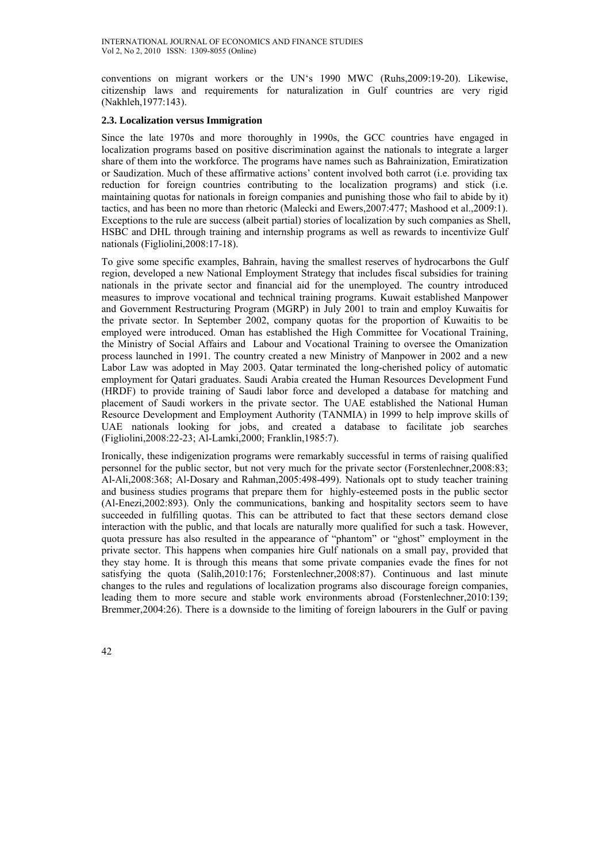conventions on migrant workers or the UN's 1990 MWC (Ruhs,2009:19-20). Likewise, citizenship laws and requirements for naturalization in Gulf countries are very rigid (Nakhleh,1977:143).

## **2.3. Localization versus Immigration**

Since the late 1970s and more thoroughly in 1990s, the GCC countries have engaged in localization programs based on positive discrimination against the nationals to integrate a larger share of them into the workforce. The programs have names such as Bahrainization, Emiratization or Saudization. Much of these affirmative actions' content involved both carrot (i.e. providing tax reduction for foreign countries contributing to the localization programs) and stick (i.e. maintaining quotas for nationals in foreign companies and punishing those who fail to abide by it) tactics, and has been no more than rhetoric (Malecki and Ewers,2007:477; Mashood et al.,2009:1). Exceptions to the rule are success (albeit partial) stories of localization by such companies as Shell, HSBC and DHL through training and internship programs as well as rewards to incentivize Gulf nationals (Figliolini,2008:17-18).

To give some specific examples, Bahrain, having the smallest reserves of hydrocarbons the Gulf region, developed a new National Employment Strategy that includes fiscal subsidies for training nationals in the private sector and financial aid for the unemployed. The country introduced measures to improve vocational and technical training programs. Kuwait established Manpower and Government Restructuring Program (MGRP) in July 2001 to train and employ Kuwaitis for the private sector. In September 2002, company quotas for the proportion of Kuwaitis to be employed were introduced. Oman has established the High Committee for Vocational Training, the Ministry of Social Affairs and Labour and Vocational Training to oversee the Omanization process launched in 1991. The country created a new Ministry of Manpower in 2002 and a new Labor Law was adopted in May 2003. Qatar terminated the long-cherished policy of automatic employment for Qatari graduates. Saudi Arabia created the Human Resources Development Fund (HRDF) to provide training of Saudi labor force and developed a database for matching and placement of Saudi workers in the private sector. The UAE established the National Human Resource Development and Employment Authority (TANMIA) in 1999 to help improve skills of UAE nationals looking for jobs, and created a database to facilitate job searches (Figliolini,2008:22-23; Al-Lamki,2000; Franklin,1985:7).

Ironically, these indigenization programs were remarkably successful in terms of raising qualified personnel for the public sector, but not very much for the private sector (Forstenlechner,2008:83; Al-Ali,2008:368; Al-Dosary and Rahman,2005:498-499). Nationals opt to study teacher training and business studies programs that prepare them for highly-esteemed posts in the public sector (Al-Enezi,2002:893). Only the communications, banking and hospitality sectors seem to have succeeded in fulfilling quotas. This can be attributed to fact that these sectors demand close interaction with the public, and that locals are naturally more qualified for such a task. However, quota pressure has also resulted in the appearance of "phantom" or "ghost" employment in the private sector. This happens when companies hire Gulf nationals on a small pay, provided that they stay home. It is through this means that some private companies evade the fines for not satisfying the quota (Salih,2010:176; Forstenlechner,2008:87). Continuous and last minute changes to the rules and regulations of localization programs also discourage foreign companies, leading them to more secure and stable work environments abroad (Forstenlechner,2010:139; Bremmer,2004:26). There is a downside to the limiting of foreign labourers in the Gulf or paving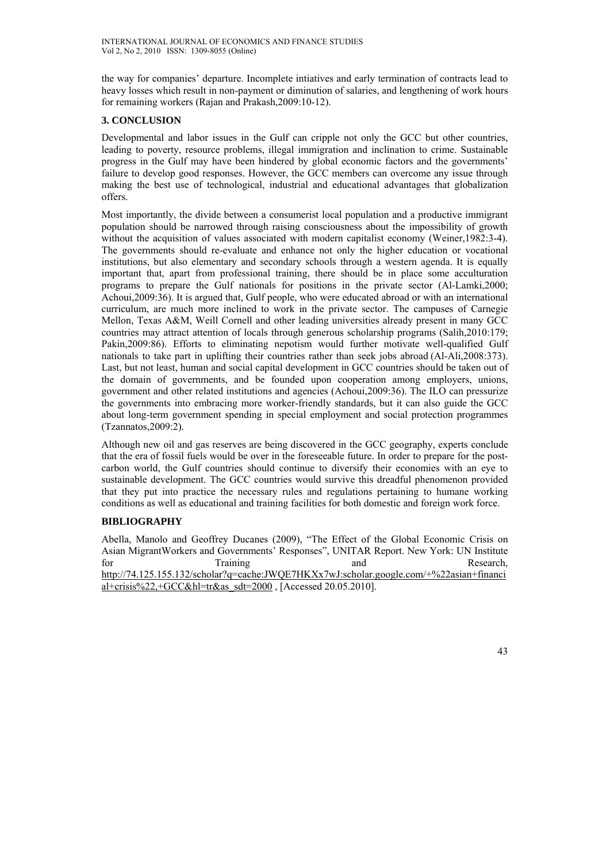the way for companies' departure. Incomplete intiatives and early termination of contracts lead to heavy losses which result in non-payment or diminution of salaries, and lengthening of work hours for remaining workers (Rajan and Prakash,2009:10-12).

## **3. CONCLUSION**

Developmental and labor issues in the Gulf can cripple not only the GCC but other countries, leading to poverty, resource problems, illegal immigration and inclination to crime. Sustainable progress in the Gulf may have been hindered by global economic factors and the governments' failure to develop good responses. However, the GCC members can overcome any issue through making the best use of technological, industrial and educational advantages that globalization offers.

Most importantly, the divide between a consumerist local population and a productive immigrant population should be narrowed through raising consciousness about the impossibility of growth without the acquisition of values associated with modern capitalist economy (Weiner, 1982:3-4). The governments should re-evaluate and enhance not only the higher education or vocational institutions, but also elementary and secondary schools through a western agenda. It is equally important that, apart from professional training, there should be in place some acculturation programs to prepare the Gulf nationals for positions in the private sector (Al-Lamki,2000; Achoui,2009:36). It is argued that, Gulf people, who were educated abroad or with an international curriculum, are much more inclined to work in the private sector. The campuses of Carnegie Mellon, Texas A&M, Weill Cornell and other leading universities already present in many GCC countries may attract attention of locals through generous scholarship programs (Salih,2010:179; Pakin,2009:86). Efforts to eliminating nepotism would further motivate well-qualified Gulf nationals to take part in uplifting their countries rather than seek jobs abroad (Al-Ali,2008:373). Last, but not least, human and social capital development in GCC countries should be taken out of the domain of governments, and be founded upon cooperation among employers, unions, government and other related institutions and agencies (Achoui,2009:36). The ILO can pressurize the governments into embracing more worker-friendly standards, but it can also guide the GCC about long-term government spending in special employment and social protection programmes (Tzannatos,2009:2).

Although new oil and gas reserves are being discovered in the GCC geography, experts conclude that the era of fossil fuels would be over in the foreseeable future. In order to prepare for the postcarbon world, the Gulf countries should continue to diversify their economies with an eye to sustainable development. The GCC countries would survive this dreadful phenomenon provided that they put into practice the necessary rules and regulations pertaining to humane working conditions as well as educational and training facilities for both domestic and foreign work force.

# **BIBLIOGRAPHY**

Abella, Manolo and Geoffrey Ducanes (2009), "The Effect of the Global Economic Crisis on Asian MigrantWorkers and Governments' Responses", UNITAR Report. New York: UN Institute for Training and Research, http://74.125.155.132/scholar?q=cache:JWQE7HKXx7wJ:scholar.google.com/+%22asian+financi al+crisis%22,+GCC&hl=tr&as\_sdt=2000 , [Accessed 20.05.2010].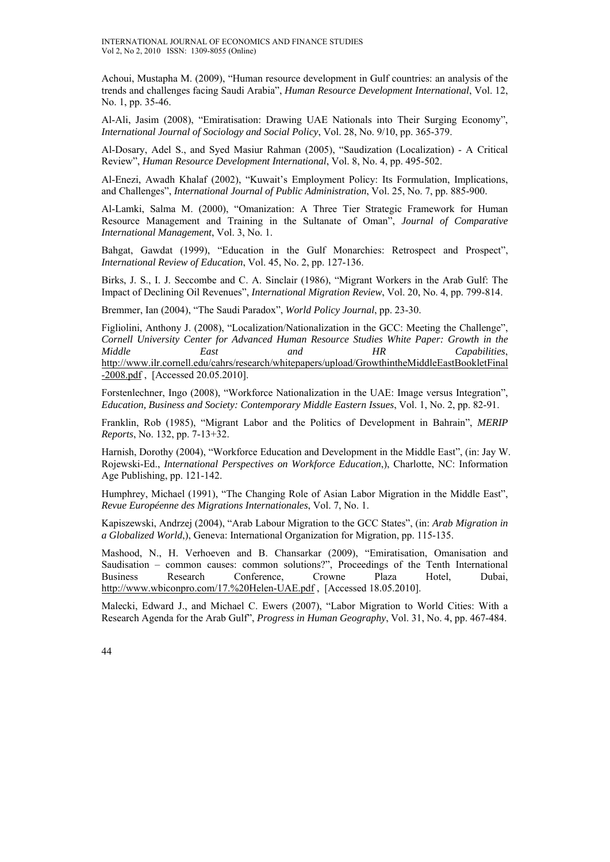Achoui, Mustapha M. (2009), "Human resource development in Gulf countries: an analysis of the trends and challenges facing Saudi Arabia", *Human Resource Development International*, Vol. 12, No. 1, pp. 35-46.

Al-Ali, Jasim (2008), "Emiratisation: Drawing UAE Nationals into Their Surging Economy", *International Journal of Sociology and Social Policy*, Vol. 28, No. 9/10, pp. 365-379.

Al-Dosary, Adel S., and Syed Masiur Rahman (2005), "Saudization (Localization) - A Critical Review", *Human Resource Development International*, Vol. 8, No. 4, pp. 495-502.

Al-Enezi, Awadh Khalaf (2002), "Kuwait's Employment Policy: Its Formulation, Implications, and Challenges", *International Journal of Public Administration*, Vol. 25, No. 7, pp. 885-900.

Al-Lamki, Salma M. (2000), "Omanization: A Three Tier Strategic Framework for Human Resource Management and Training in the Sultanate of Oman", *Journal of Comparative International Management*, Vol. 3, No. 1.

Bahgat, Gawdat (1999), "Education in the Gulf Monarchies: Retrospect and Prospect", *International Review of Education*, Vol. 45, No. 2, pp. 127-136.

Birks, J. S., I. J. Seccombe and C. A. Sinclair (1986), "Migrant Workers in the Arab Gulf: The Impact of Declining Oil Revenues", *International Migration Review*, Vol. 20, No. 4, pp. 799-814.

Bremmer, Ian (2004), "The Saudi Paradox", *World Policy Journal*, pp. 23-30.

Figliolini, Anthony J. (2008), "Localization/Nationalization in the GCC: Meeting the Challenge", *Cornell University Center for Advanced Human Resource Studies White Paper: Growth in the Middle East and HR Capabilities*, http://www.ilr.cornell.edu/cahrs/research/whitepapers/upload/GrowthintheMiddleEastBookletFinal -2008.pdf , [Accessed 20.05.2010].

Forstenlechner, Ingo (2008), "Workforce Nationalization in the UAE: Image versus Integration", *Education, Business and Society: Contemporary Middle Eastern Issues*, Vol. 1, No. 2, pp. 82-91.

Franklin, Rob (1985), "Migrant Labor and the Politics of Development in Bahrain", *MERIP Reports*, No. 132, pp. 7-13+32.

Harnish, Dorothy (2004), "Workforce Education and Development in the Middle East", (in: Jay W. Rojewski-Ed., *International Perspectives on Workforce Education*,), Charlotte, NC: Information Age Publishing, pp. 121-142.

Humphrey, Michael (1991), "The Changing Role of Asian Labor Migration in the Middle East", *Revue Européenne des Migrations Internationales*, Vol. 7, No. 1.

Kapiszewski, Andrzej (2004), "Arab Labour Migration to the GCC States", (in: *Arab Migration in a Globalized World*,), Geneva: International Organization for Migration, pp. 115-135.

Mashood, N., H. Verhoeven and B. Chansarkar (2009), "Emiratisation, Omanisation and Saudisation – common causes: common solutions?", Proceedings of the Tenth International Business Research Conference, Crowne Plaza Hotel, Dubai, http://www.wbiconpro.com/17.%20Helen-UAE.pdf , [Accessed 18.05.2010].

Malecki, Edward J., and Michael C. Ewers (2007), "Labor Migration to World Cities: With a Research Agenda for the Arab Gulf", *Progress in Human Geography*, Vol. 31, No. 4, pp. 467-484.